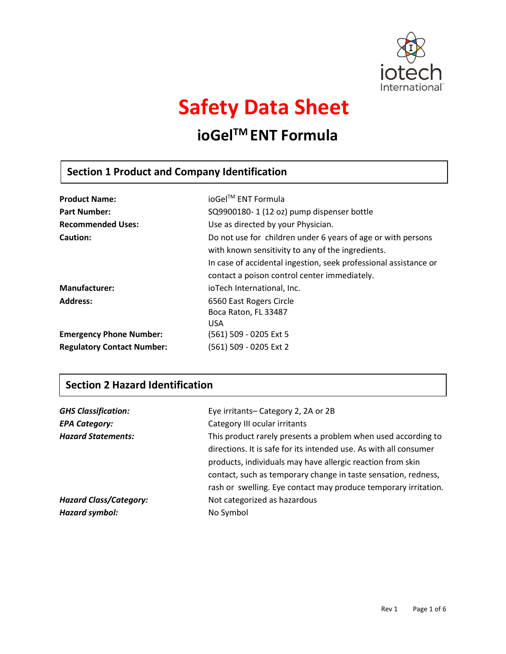

# **Safety Data Sheet**

# **ioGelTM ENT Formula**

# **Section 1 Product and Company Identification**

| <b>Product Name:</b>              | ioGel™ ENT Formula                                               |
|-----------------------------------|------------------------------------------------------------------|
| <b>Part Number:</b>               | SQ9900180-1 (12 oz) pump dispenser bottle                        |
| <b>Recommended Uses:</b>          | Use as directed by your Physician.                               |
| <b>Caution:</b>                   | Do not use for children under 6 years of age or with persons     |
|                                   | with known sensitivity to any of the ingredients.                |
|                                   | In case of accidental ingestion, seek professional assistance or |
|                                   | contact a poison control center immediately.                     |
| <b>Manufacturer:</b>              | ioTech International, Inc.                                       |
| <b>Address:</b>                   | 6560 East Rogers Circle                                          |
|                                   | Boca Raton, FL 33487                                             |
|                                   | <b>USA</b>                                                       |
| <b>Emergency Phone Number:</b>    | (561) 509 - 0205 Ext 5                                           |
| <b>Regulatory Contact Number:</b> | (561) 509 - 0205 Ext 2                                           |

# **Section 2 Hazard Identification**

| <b>GHS Classification:</b>    | Eye irritants-Category 2, 2A or 2B                                |
|-------------------------------|-------------------------------------------------------------------|
| <b>EPA Category:</b>          | Category III ocular irritants                                     |
| <b>Hazard Statements:</b>     | This product rarely presents a problem when used according to     |
|                               | directions. It is safe for its intended use. As with all consumer |
|                               | products, individuals may have allergic reaction from skin        |
|                               | contact, such as temporary change in taste sensation, redness,    |
|                               | rash or swelling. Eye contact may produce temporary irritation.   |
| <b>Hazard Class/Category:</b> | Not categorized as hazardous                                      |
| Hazard symbol:                | No Symbol                                                         |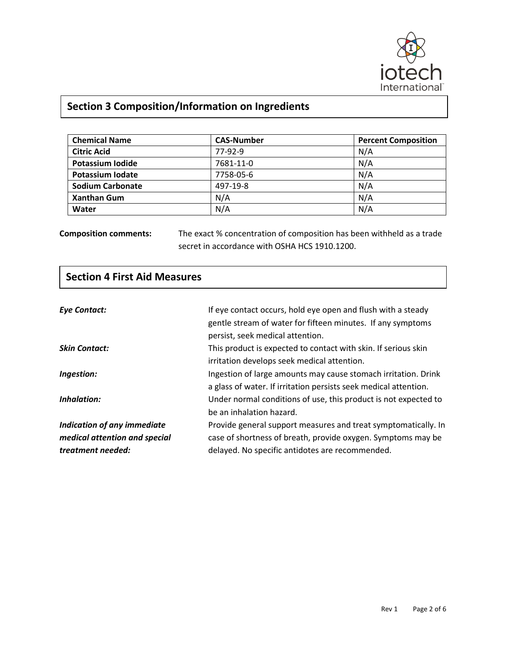

# **Section 3 Composition/Information on Ingredients**

| <b>Chemical Name</b>    | <b>CAS-Number</b> | <b>Percent Composition</b> |
|-------------------------|-------------------|----------------------------|
| <b>Citric Acid</b>      | 77-92-9           | N/A                        |
| Potassium Iodide        | 7681-11-0         | N/A                        |
| Potassium Iodate        | 7758-05-6         | N/A                        |
| <b>Sodium Carbonate</b> | 497-19-8          | N/A                        |
| <b>Xanthan Gum</b>      | N/A               | N/A                        |
| Water                   | N/A               | N/A                        |

**Composition comments:** The exact % concentration of composition has been withheld as a trade secret in accordance with OSHA HCS 1910.1200.

| <b>Section 4 First Aid Measures</b> |                                                                  |
|-------------------------------------|------------------------------------------------------------------|
|                                     |                                                                  |
| <b>Eye Contact:</b>                 | If eye contact occurs, hold eye open and flush with a steady     |
|                                     | gentle stream of water for fifteen minutes. If any symptoms      |
|                                     | persist, seek medical attention.                                 |
| <b>Skin Contact:</b>                | This product is expected to contact with skin. If serious skin   |
|                                     | irritation develops seek medical attention.                      |
| Ingestion:                          | Ingestion of large amounts may cause stomach irritation. Drink   |
|                                     | a glass of water. If irritation persists seek medical attention. |
| Inhalation:                         | Under normal conditions of use, this product is not expected to  |
|                                     | be an inhalation hazard.                                         |
| Indication of any immediate         | Provide general support measures and treat symptomatically. In   |
| medical attention and special       | case of shortness of breath, provide oxygen. Symptoms may be     |
| treatment needed:                   | delayed. No specific antidotes are recommended.                  |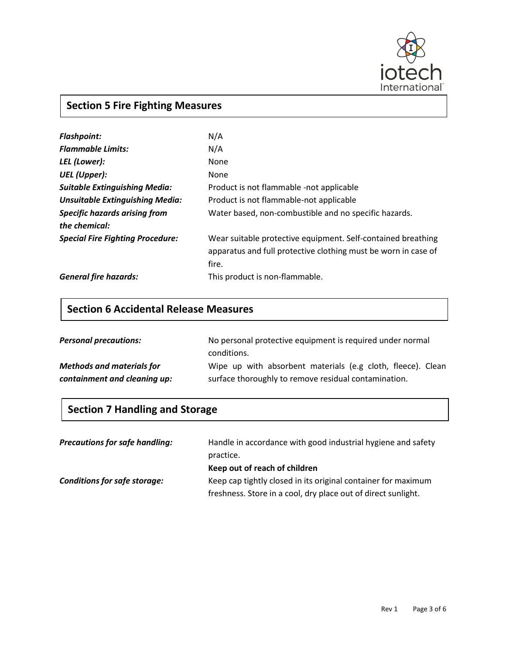

# **Section 5 Fire Fighting Measures**

| <b>Flashpoint:</b>                      | N/A                                                            |
|-----------------------------------------|----------------------------------------------------------------|
| <b>Flammable Limits:</b>                | N/A                                                            |
| LEL (Lower):                            | None                                                           |
| UEL (Upper):                            | None                                                           |
| <b>Suitable Extinguishing Media:</b>    | Product is not flammable -not applicable                       |
| <b>Unsuitable Extinguishing Media:</b>  | Product is not flammable-not applicable                        |
| <b>Specific hazards arising from</b>    | Water based, non-combustible and no specific hazards.          |
| the chemical:                           |                                                                |
| <b>Special Fire Fighting Procedure:</b> | Wear suitable protective equipment. Self-contained breathing   |
|                                         | apparatus and full protective clothing must be worn in case of |
|                                         | fire.                                                          |
| <b>General fire hazards:</b>            | This product is non-flammable.                                 |

# **Section 6 Accidental Release Measures**

| <b>Personal precautions:</b>     | No personal protective equipment is required under normal   |
|----------------------------------|-------------------------------------------------------------|
|                                  | conditions.                                                 |
| <b>Methods and materials for</b> | Wipe up with absorbent materials (e.g cloth, fleece). Clean |
| containment and cleaning up:     | surface thoroughly to remove residual contamination.        |

# **Section 7 Handling and Storage**

| <b>Precautions for safe handling:</b> | Handle in accordance with good industrial hygiene and safety  |
|---------------------------------------|---------------------------------------------------------------|
|                                       | practice.                                                     |
|                                       | Keep out of reach of children                                 |
| <b>Conditions for safe storage:</b>   | Keep cap tightly closed in its original container for maximum |
|                                       | freshness. Store in a cool, dry place out of direct sunlight. |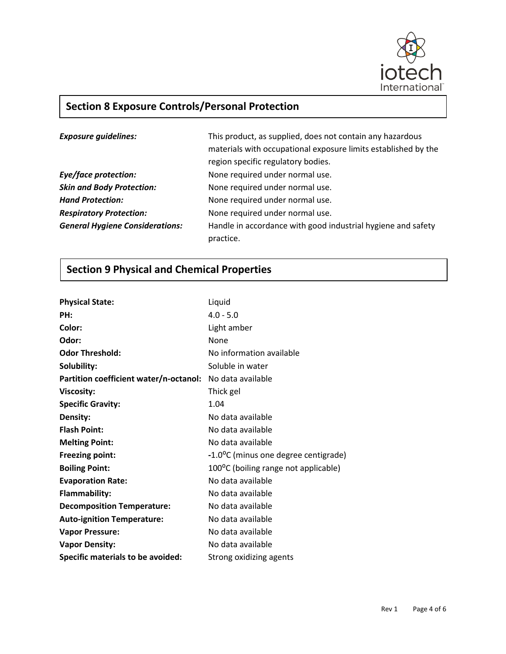

# **Section 8 Exposure Controls/Personal Protection**

| <b>Exposure guidelines:</b>            | This product, as supplied, does not contain any hazardous<br>materials with occupational exposure limits established by the<br>region specific regulatory bodies. |
|----------------------------------------|-------------------------------------------------------------------------------------------------------------------------------------------------------------------|
| Eye/face protection:                   | None required under normal use.                                                                                                                                   |
| <b>Skin and Body Protection:</b>       | None required under normal use.                                                                                                                                   |
| <b>Hand Protection:</b>                | None required under normal use.                                                                                                                                   |
| <b>Respiratory Protection:</b>         | None required under normal use.                                                                                                                                   |
| <b>General Hygiene Considerations:</b> | Handle in accordance with good industrial hygiene and safety<br>practice.                                                                                         |

# **Section 9 Physical and Chemical Properties**

| <b>Physical State:</b>                 | Liquid                               |
|----------------------------------------|--------------------------------------|
| PH:                                    | $4.0 - 5.0$                          |
| Color:                                 | Light amber                          |
| Odor:                                  | None                                 |
| <b>Odor Threshold:</b>                 | No information available             |
| Solubility:                            | Soluble in water                     |
| Partition coefficient water/n-octanol: | No data available                    |
| <b>Viscosity:</b>                      | Thick gel                            |
| <b>Specific Gravity:</b>               | 1.04                                 |
| Density:                               | No data available                    |
| <b>Flash Point:</b>                    | No data available                    |
| <b>Melting Point:</b>                  | No data available                    |
| <b>Freezing point:</b>                 | -1.0°C (minus one degree centigrade) |
| <b>Boiling Point:</b>                  | 100°C (boiling range not applicable) |
| <b>Evaporation Rate:</b>               | No data available                    |
| <b>Flammability:</b>                   | No data available                    |
| <b>Decomposition Temperature:</b>      | No data available                    |
| <b>Auto-ignition Temperature:</b>      | No data available                    |
| <b>Vapor Pressure:</b>                 | No data available                    |
| <b>Vapor Density:</b>                  | No data available                    |
| Specific materials to be avoided:      | Strong oxidizing agents              |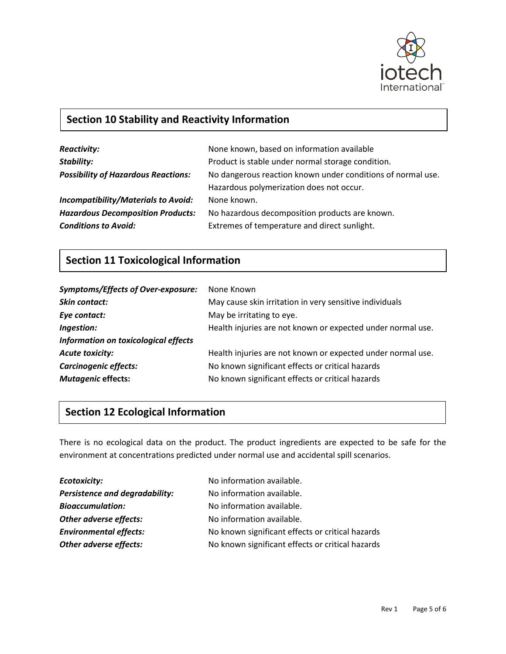

# **Section 10 Stability and Reactivity Information**

| <b>Reactivity:</b>                         | None known, based on information available                  |
|--------------------------------------------|-------------------------------------------------------------|
| <b>Stability:</b>                          | Product is stable under normal storage condition.           |
| <b>Possibility of Hazardous Reactions:</b> | No dangerous reaction known under conditions of normal use. |
|                                            | Hazardous polymerization does not occur.                    |
| <b>Incompatibility/Materials to Avoid:</b> | None known.                                                 |
| <b>Hazardous Decomposition Products:</b>   | No hazardous decomposition products are known.              |
| <b>Conditions to Avoid:</b>                | Extremes of temperature and direct sunlight.                |

# **Section 11 Toxicological Information**

| <b>Symptoms/Effects of Over-exposure:</b> | None Known                                                  |
|-------------------------------------------|-------------------------------------------------------------|
| Skin contact:                             | May cause skin irritation in very sensitive individuals     |
| Eye contact:                              | May be irritating to eye.                                   |
| Ingestion:                                | Health injuries are not known or expected under normal use. |
| Information on toxicological effects      |                                                             |
| <b>Acute toxicity:</b>                    | Health injuries are not known or expected under normal use. |
| Carcinogenic effects:                     | No known significant effects or critical hazards            |
| <b>Mutagenic effects:</b>                 | No known significant effects or critical hazards            |

# **Section 12 Ecological Information**

There is no ecological data on the product. The product ingredients are expected to be safe for the environment at concentrations predicted under normal use and accidental spill scenarios.

| <b>Ecotoxicity:</b>                   | No information available.                        |
|---------------------------------------|--------------------------------------------------|
| <b>Persistence and degradability:</b> | No information available.                        |
| <b>Bioaccumulation:</b>               | No information available.                        |
| Other adverse effects:                | No information available.                        |
| <b>Environmental effects:</b>         | No known significant effects or critical hazards |
| Other adverse effects:                | No known significant effects or critical hazards |